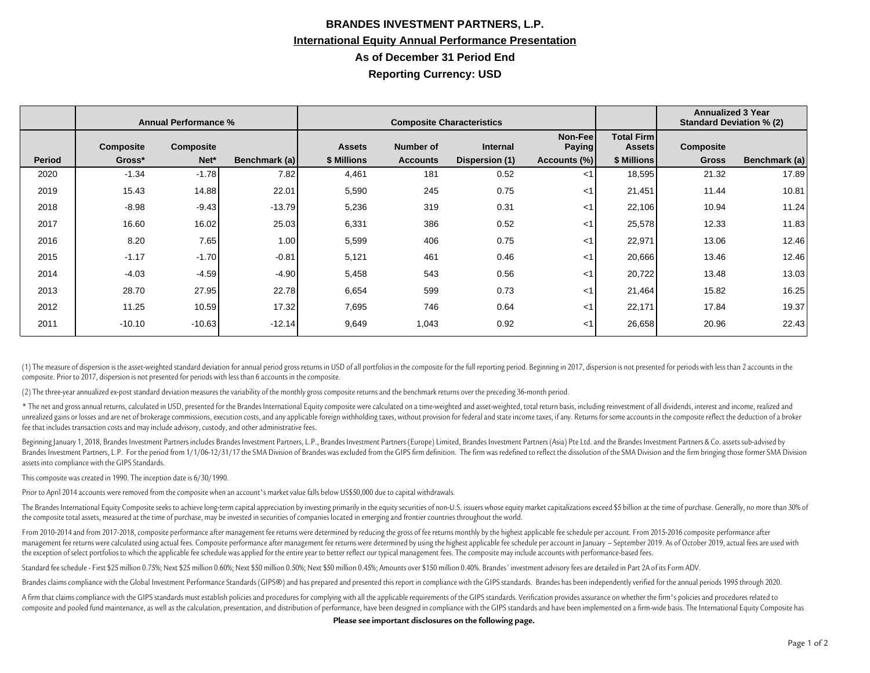## **BRANDES INVESTMENT PARTNERS, L.P. International Equity Annual Performance Presentation As of December 31 Period End Reporting Currency: USD**

|               | <b>Annual Performance %</b> |                  |               | <b>Composite Characteristics</b> |                 |                 |                           |                                    | <b>Annualized 3 Year</b><br><b>Standard Deviation % (2)</b> |               |
|---------------|-----------------------------|------------------|---------------|----------------------------------|-----------------|-----------------|---------------------------|------------------------------------|-------------------------------------------------------------|---------------|
|               | <b>Composite</b>            | <b>Composite</b> |               | <b>Assets</b>                    | Number of       | <b>Internal</b> | Non-Feel<br><b>Paying</b> | <b>Total Firm</b><br><b>Assets</b> | <b>Composite</b>                                            |               |
| <b>Period</b> | Gross*                      | Net*             | Benchmark (a) | \$ Millions                      | <b>Accounts</b> | Dispersion (1)  | Accounts (%)              | \$ Millions                        | <b>Gross</b>                                                | Benchmark (a) |
| 2020          | $-1.34$                     | $-1.78$          | 7.82          | 4,461                            | 181             | 0.52            | $<$ 1                     | 18,595                             | 21.32                                                       | 17.89         |
| 2019          | 15.43                       | 14.88            | 22.01         | 5,590                            | 245             | 0.75            | $<$ 1                     | 21,451                             | 11.44                                                       | 10.81         |
| 2018          | $-8.98$                     | $-9.43$          | $-13.79$      | 5,236                            | 319             | 0.31            | $<$ 1                     | 22,106                             | 10.94                                                       | 11.24         |
| 2017          | 16.60                       | 16.02            | 25.03         | 6,331                            | 386             | 0.52            | $<$ 1                     | 25,578                             | 12.33                                                       | 11.83         |
| 2016          | 8.20                        | 7.65             | 1.00          | 5,599                            | 406             | 0.75            | $<$ 1                     | 22,971                             | 13.06                                                       | 12.46         |
| 2015          | $-1.17$                     | $-1.70$          | $-0.81$       | 5,121                            | 461             | 0.46            | ا>                        | 20,666                             | 13.46                                                       | 12.46         |
| 2014          | $-4.03$                     | $-4.59$          | $-4.90$       | 5,458                            | 543             | 0.56            | $<$ 1                     | 20,722                             | 13.48                                                       | 13.03         |
| 2013          | 28.70                       | 27.95            | 22.78         | 6,654                            | 599             | 0.73            | $<$ 1                     | 21,464                             | 15.82                                                       | 16.25         |
| 2012          | 11.25                       | 10.59            | 17.32         | 7,695                            | 746             | 0.64            | ا>                        | 22,171                             | 17.84                                                       | 19.37         |
| 2011          | $-10.10$                    | $-10.63$         | $-12.14$      | 9,649                            | 1,043           | 0.92            | $<$ 1                     | 26,658                             | 20.96                                                       | 22.43         |

(1) The measure of dispersion is the asset-weighted standard deviation for annual period gross returns in USD of all portfolios in the composite for the full reporting period. Beginning in 2017, dispersion is not presented composite. Prior to 2017, dispersion is not presented for periods with less than 6 accounts in the composite.

(2) The three-year annualized ex-post standard deviation measures the variability of the monthly gross composite returns and the benchmark returns over the preceding 36-month period.

\* The net and gross annual returns, calculated in USD, presented for the Brandes International Equity composite were calculated on a time-weighted and asset-weighted, total return basis, including reinvestment of all divid unrealized gains or losses and are net of brokerage commissions, execution costs, and any applicable foreign withholding taxes, without provision for federal and state income taxes, if any. Returns for some accounts in the fee that includes transaction costs and may include advisory, custody, and other administrative fees.

Beginning January 1, 2018, Brandes Investment Partners includes Brandes Investment Partners, L.P., Brandes Investment Partners (Europe) Limited, Brandes Investment Partners (Asia) Pte Ltd. and the Brandes Investment Partne Brandes Investment Partners, L.P. For the period from 1/1/06-12/31/17 the SMA Division of Brandes was excluded from the GIPS firm definition. The firm was redefined to reflect the dissolution of the SMA Division and the fi assets into compliance with the GIPS Standards.

This composite was created in 1990. The inception date is 6/30/1990.

Prior to April 2014 accounts were removed from the composite when an account's market value falls below US\$50,000 due to capital withdrawals.

The Brandes International Equity Composite seeks to achieve long-term capital appreciation by investing primarily in the equity securities of non-U.S. issuers whose equity market capitalizations exceed \$5 billion at the ti the composite total assets, measured at the time of purchase, may be invested in securities of companies located in emerging and frontier countries throughout the world.

From 2010-2014 and from 2017-2018, composite performance after management fee returns were determined by reducing the gross of fee returns monthly by the highest applicable fee schedule per account. From 2015-2016 composit management fee returns were calculated using actual fees. Composite performance after management fee returns were determined by using the highest applicable fee schedule per account in January - September 2019. As of Octob the exception of select portfolios to which the applicable fee schedule was applied for the entire year to better reflect our typical management fees. The composite may include accounts with performance-based fees.

Standard fee schedule - First \$25 million 0.75%; Next \$25 million 0.60%; Next \$50 million 0.60%; Next \$50 million 0.45%; Next \$50 million 0.45%; Next \$50 million 0.45%; Amounts over \$150 million 0.40%. Brandes' investment

Brandes claims compliance with the Global Investment Performance Standards (GIPS®) and has prepared and presented this report in compliance with the GIPS standards. Brandes has been independently verified for the annual pe

A firm that claims compliance with the GIPS standards must establish policies and procedures for complying with all the applicable requirements of the GIPS standards. Verification provides assurance on whether the firm's p composite and pooled fund maintenance, as well as the calculation, presentation, and distribution of performance, have been designed in compliance with the GIPS standards and have been implemented on a firm-wide basis. The

**Please see important disclosures on the following page.**